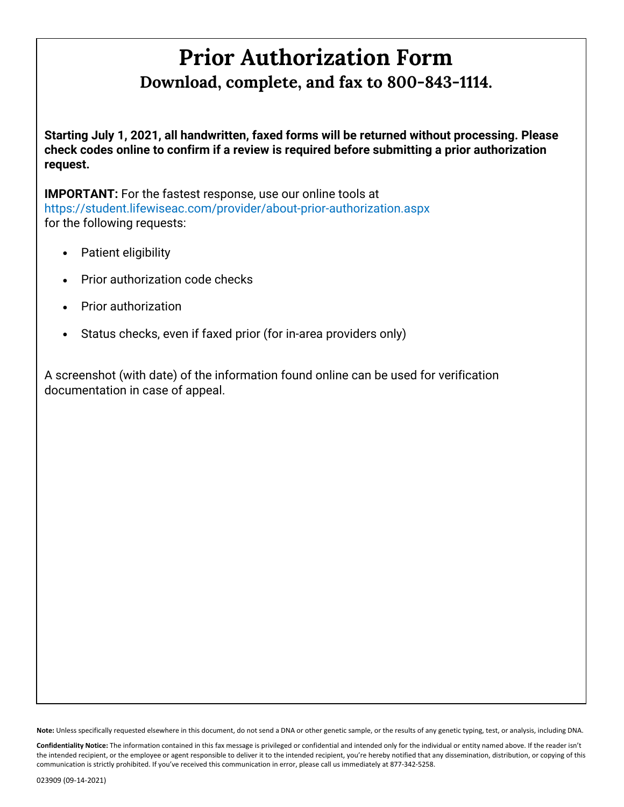# **Prior Authorization Form Download, complete, and fax to 800-843-1114.**

**Starting July 1, 2021, all handwritten, faxed forms will be returned without processing. Please check codes online to confirm if a review is required before submitting a prior authorization request.** 

**IMPORTANT:** For the fastest response, use our online tools at <https://student.lifewiseac.com/provider/about-prior-authorization.aspx> for the following requests:

- Patient eligibility
- Prior authorization code checks
- Prior authorization
- Status checks, even if faxed prior (for in-area providers only)

A screenshot (with date) of the information found online can be used for verification documentation in case of appeal.

**Note:** Unless specifically requested elsewhere in this document, do not send a DNA or other genetic sample, or the results of any genetic typing, test, or analysis, including DNA.

**Confidentiality Notice:** The information contained in this fax message is privileged or confidential and intended only for the individual or entity named above. If the reader isn't the intended recipient, or the employee or agent responsible to deliver it to the intended recipient, you're hereby notified that any dissemination, distribution, or copying of this communication is strictly prohibited. If you've received this communication in error, please call us immediately at 877-342-5258.